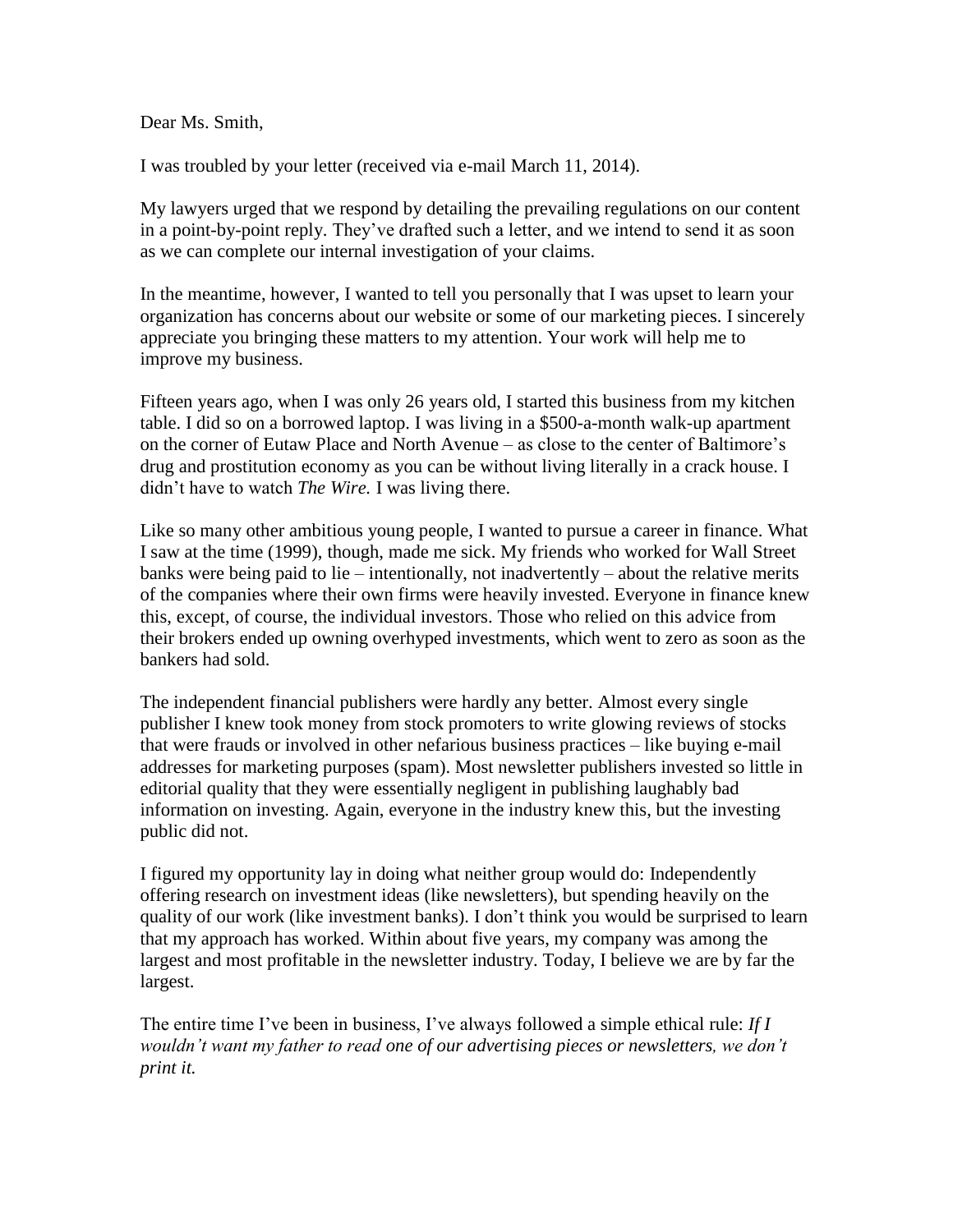Dear Ms. Smith,

I was troubled by your letter (received via e-mail March 11, 2014).

My lawyers urged that we respond by detailing the prevailing regulations on our content in a point-by-point reply. They've drafted such a letter, and we intend to send it as soon as we can complete our internal investigation of your claims.

In the meantime, however, I wanted to tell you personally that I was upset to learn your organization has concerns about our website or some of our marketing pieces. I sincerely appreciate you bringing these matters to my attention. Your work will help me to improve my business.

Fifteen years ago, when I was only 26 years old, I started this business from my kitchen table. I did so on a borrowed laptop. I was living in a \$500-a-month walk-up apartment on the corner of Eutaw Place and North Avenue – as close to the center of Baltimore's drug and prostitution economy as you can be without living literally in a crack house. I didn't have to watch *The Wire.* I was living there.

Like so many other ambitious young people, I wanted to pursue a career in finance. What I saw at the time (1999), though, made me sick. My friends who worked for Wall Street banks were being paid to lie – intentionally, not inadvertently – about the relative merits of the companies where their own firms were heavily invested. Everyone in finance knew this, except, of course, the individual investors. Those who relied on this advice from their brokers ended up owning overhyped investments, which went to zero as soon as the bankers had sold.

The independent financial publishers were hardly any better. Almost every single publisher I knew took money from stock promoters to write glowing reviews of stocks that were frauds or involved in other nefarious business practices – like buying e-mail addresses for marketing purposes (spam). Most newsletter publishers invested so little in editorial quality that they were essentially negligent in publishing laughably bad information on investing. Again, everyone in the industry knew this, but the investing public did not.

I figured my opportunity lay in doing what neither group would do: Independently offering research on investment ideas (like newsletters), but spending heavily on the quality of our work (like investment banks). I don't think you would be surprised to learn that my approach has worked. Within about five years, my company was among the largest and most profitable in the newsletter industry. Today, I believe we are by far the largest.

The entire time I've been in business, I've always followed a simple ethical rule: *If I wouldn't want my father to read one of our advertising pieces or newsletters, we don't print it.*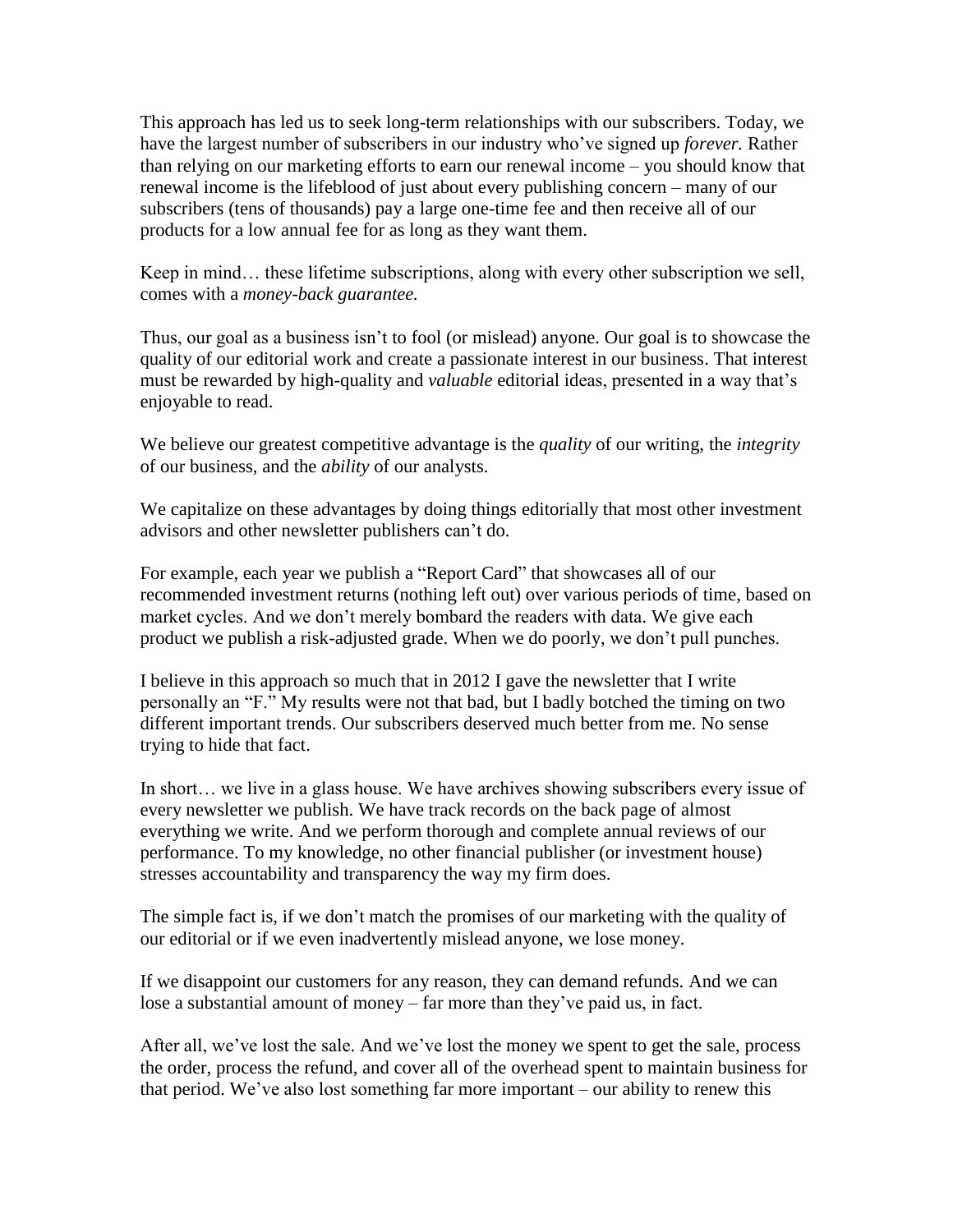This approach has led us to seek long-term relationships with our subscribers. Today, we have the largest number of subscribers in our industry who've signed up *forever.* Rather than relying on our marketing efforts to earn our renewal income – you should know that renewal income is the lifeblood of just about every publishing concern – many of our subscribers (tens of thousands) pay a large one-time fee and then receive all of our products for a low annual fee for as long as they want them.

Keep in mind… these lifetime subscriptions, along with every other subscription we sell, comes with a *money-back guarantee.*

Thus, our goal as a business isn't to fool (or mislead) anyone. Our goal is to showcase the quality of our editorial work and create a passionate interest in our business. That interest must be rewarded by high-quality and *valuable* editorial ideas, presented in a way that's enjoyable to read.

We believe our greatest competitive advantage is the *quality* of our writing, the *integrity* of our business, and the *ability* of our analysts.

We capitalize on these advantages by doing things editorially that most other investment advisors and other newsletter publishers can't do.

For example, each year we publish a "Report Card" that showcases all of our recommended investment returns (nothing left out) over various periods of time, based on market cycles. And we don't merely bombard the readers with data. We give each product we publish a risk-adjusted grade. When we do poorly, we don't pull punches.

I believe in this approach so much that in 2012 I gave the newsletter that I write personally an "F." My results were not that bad, but I badly botched the timing on two different important trends. Our subscribers deserved much better from me. No sense trying to hide that fact.

In short… we live in a glass house. We have archives showing subscribers every issue of every newsletter we publish. We have track records on the back page of almost everything we write. And we perform thorough and complete annual reviews of our performance. To my knowledge, no other financial publisher (or investment house) stresses accountability and transparency the way my firm does.

The simple fact is, if we don't match the promises of our marketing with the quality of our editorial or if we even inadvertently mislead anyone, we lose money.

If we disappoint our customers for any reason, they can demand refunds. And we can lose a substantial amount of money – far more than they've paid us, in fact.

After all, we've lost the sale. And we've lost the money we spent to get the sale, process the order, process the refund, and cover all of the overhead spent to maintain business for that period. We've also lost something far more important – our ability to renew this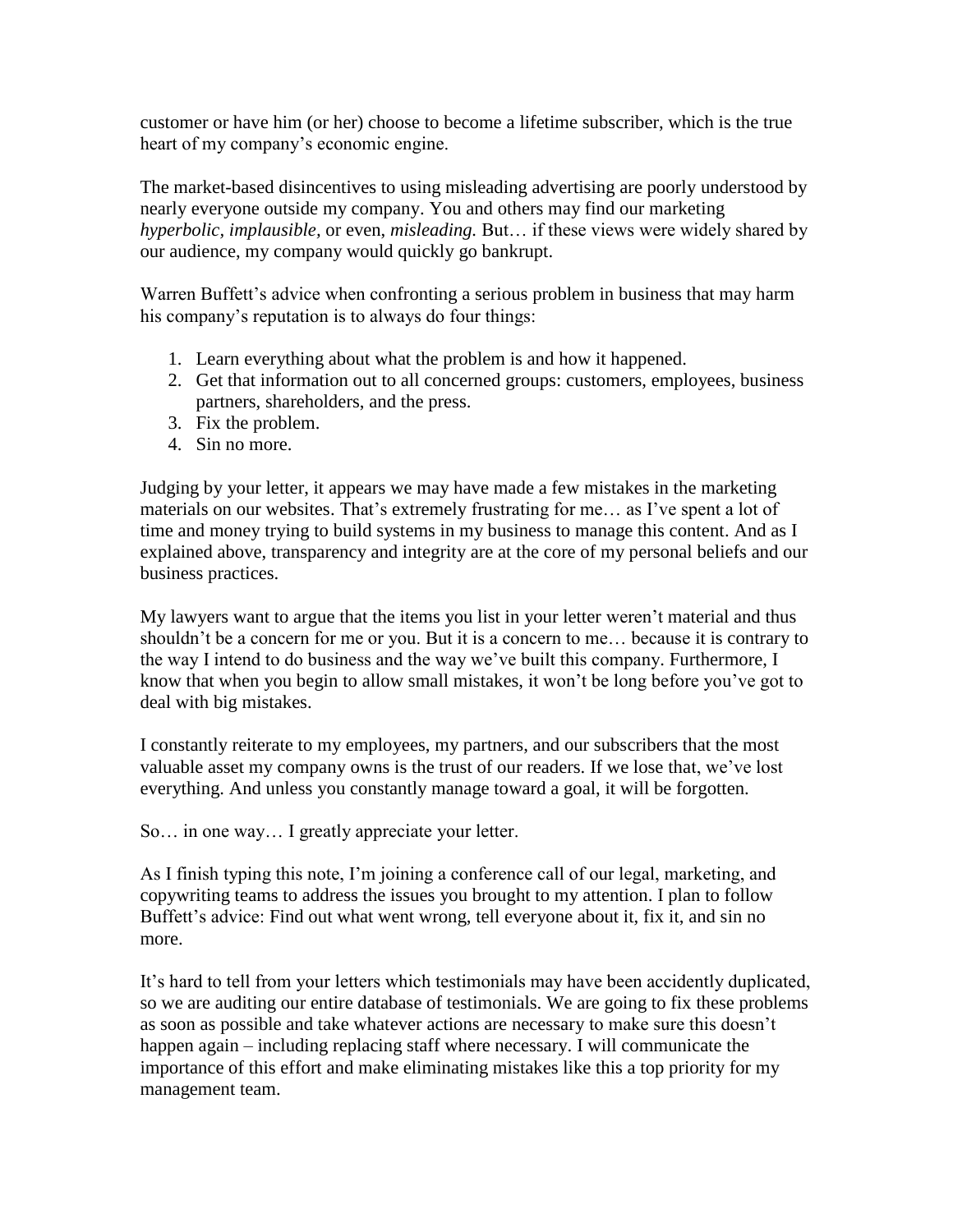customer or have him (or her) choose to become a lifetime subscriber, which is the true heart of my company's economic engine.

The market-based disincentives to using misleading advertising are poorly understood by nearly everyone outside my company. You and others may find our marketing *hyperbolic, implausible,* or even, *misleading.* But… if these views were widely shared by our audience, my company would quickly go bankrupt.

Warren Buffett's advice when confronting a serious problem in business that may harm his company's reputation is to always do four things:

- 1. Learn everything about what the problem is and how it happened.
- 2. Get that information out to all concerned groups: customers, employees, business partners, shareholders, and the press.
- 3. Fix the problem.
- 4. Sin no more.

Judging by your letter, it appears we may have made a few mistakes in the marketing materials on our websites. That's extremely frustrating for me… as I've spent a lot of time and money trying to build systems in my business to manage this content. And as I explained above, transparency and integrity are at the core of my personal beliefs and our business practices.

My lawyers want to argue that the items you list in your letter weren't material and thus shouldn't be a concern for me or you. But it is a concern to me… because it is contrary to the way I intend to do business and the way we've built this company. Furthermore, I know that when you begin to allow small mistakes, it won't be long before you've got to deal with big mistakes.

I constantly reiterate to my employees, my partners, and our subscribers that the most valuable asset my company owns is the trust of our readers. If we lose that, we've lost everything. And unless you constantly manage toward a goal, it will be forgotten.

So… in one way… I greatly appreciate your letter.

As I finish typing this note, I'm joining a conference call of our legal, marketing, and copywriting teams to address the issues you brought to my attention. I plan to follow Buffett's advice: Find out what went wrong, tell everyone about it, fix it, and sin no more.

It's hard to tell from your letters which testimonials may have been accidently duplicated, so we are auditing our entire database of testimonials. We are going to fix these problems as soon as possible and take whatever actions are necessary to make sure this doesn't happen again – including replacing staff where necessary. I will communicate the importance of this effort and make eliminating mistakes like this a top priority for my management team.